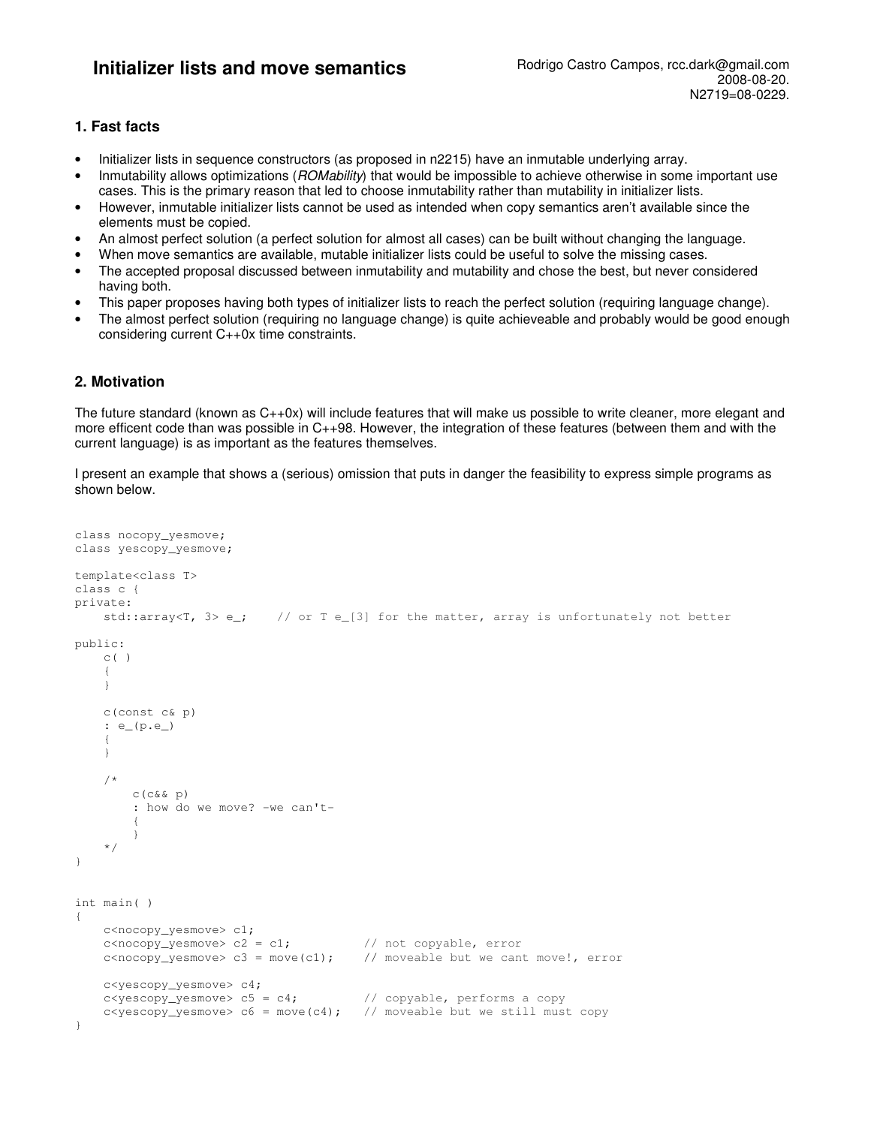# **Initializer lists and move semantics** Rodrigo Castro Campos, rcc.dark@gmail.com

# **1. Fast facts**

- Initializer lists in sequence constructors (as proposed in n2215) have an inmutable underlying array.
- Inmutability allows optimizations (ROMability) that would be impossible to achieve otherwise in some important use cases. This is the primary reason that led to choose inmutability rather than mutability in initializer lists.
- However, inmutable initializer lists cannot be used as intended when copy semantics aren't available since the elements must be copied.
- An almost perfect solution (a perfect solution for almost all cases) can be built without changing the language.
- When move semantics are available, mutable initializer lists could be useful to solve the missing cases.
- The accepted proposal discussed between inmutability and mutability and chose the best, but never considered having both.
- This paper proposes having both types of initializer lists to reach the perfect solution (requiring language change).
- The almost perfect solution (requiring no language change) is quite achieveable and probably would be good enough considering current C++0x time constraints.

# **2. Motivation**

The future standard (known as C++0x) will include features that will make us possible to write cleaner, more elegant and more efficent code than was possible in C++98. However, the integration of these features (between them and with the current language) is as important as the features themselves.

I present an example that shows a (serious) omission that puts in danger the feasibility to express simple programs as shown below.

```
class nocopy_yesmove; 
class yescopy_yesmove; 
template<class T> 
class c { 
private: 
    std::array<T, 3> e_i; // or T e_[3] for the matter, array is unfortunately not better
public: 
    C( ) { 
     } 
     c(const c& p) 
     : e_(p.e_) 
\left\{ \begin{array}{c} 1 \end{array} \right. } 
     /* 
         c(c&& p) 
         : how do we move? -we can't- 
\{ } 
     */ 
} 
int main( ) 
{ 
    c<nocopy_yesmove> c1;<br>c<nocopy_yesmove> c2 = c1;
c<nocopy_yesmove> c2 = c1; // not copyable, error
c<nocopy_yesmove> c3 = move(c1); // moveable but we cant move!, error
     c<yescopy_yesmove> c4; 
    c<sub>yc</sub>scopy_yesmove > c5 = c4; // copyable, performs a copy
    c<yescopy_yesmove> c6 = move(c4); // moveable but we still must copy
}
```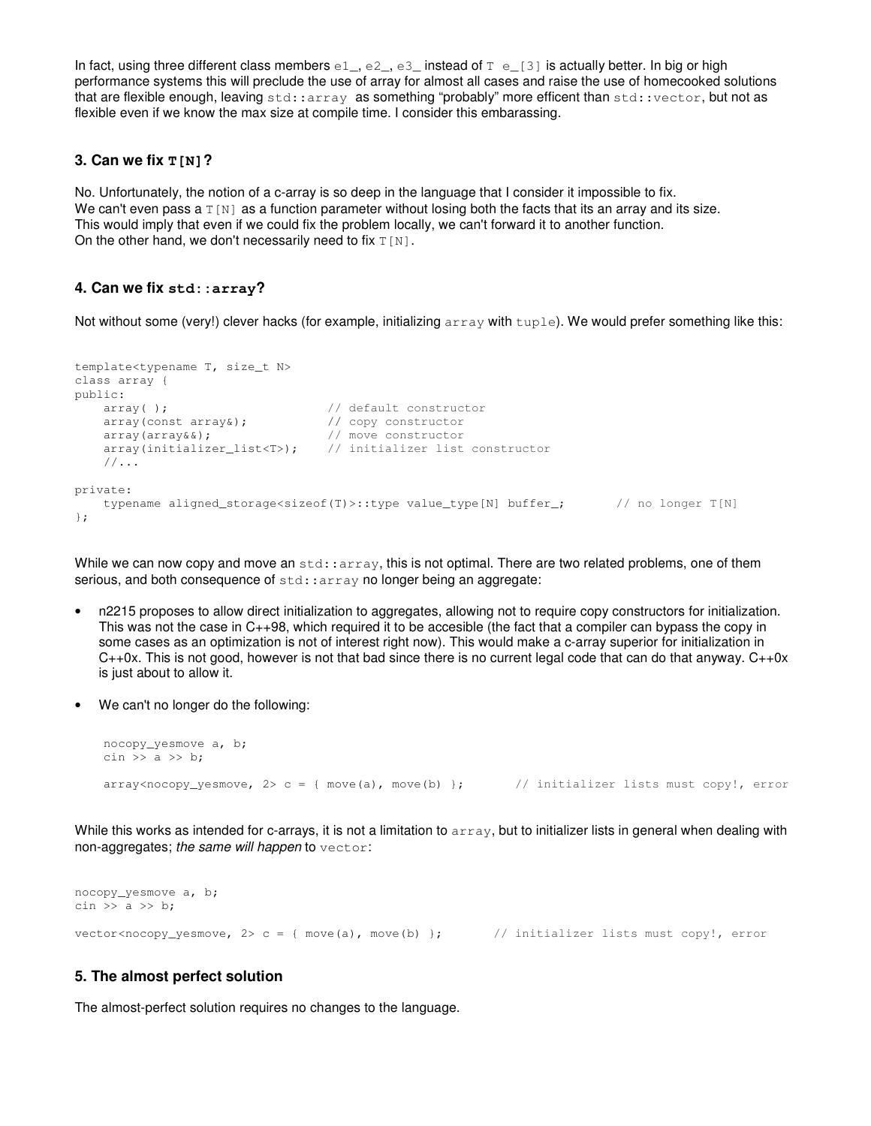In fact, using three different class members  $e1$ ,  $e2$ ,  $e3$  instead of  $T e$  [3] is actually better. In big or high performance systems this will preclude the use of array for almost all cases and raise the use of homecooked solutions that are flexible enough, leaving std::array as something "probably" more efficent than std::vector, but not as flexible even if we know the max size at compile time. I consider this embarassing.

## **3. Can we fix T[N]?**

No. Unfortunately, the notion of a c-array is so deep in the language that I consider it impossible to fix. We can't even pass a  $T[N]$  as a function parameter without losing both the facts that its an array and its size. This would imply that even if we could fix the problem locally, we can't forward it to another function. On the other hand, we don't necessarily need to fix  $T[N]$ .

## **4. Can we fix std::array?**

Not without some (very!) clever hacks (for example, initializing array with tuple). We would prefer something like this:

```
template<typename T, size_t N> 
class array { 
public: 
    array( ); <br> \frac{1}{2} // default constructor<br> \frac{1}{2} // copy constructor
    array(const~array);<br>array(const array&);
    array(array&&); \sqrt{2} // move constructor
    array(initializer_list<T>); // initializer list constructor
     //... 
private: 
    typename aligned_storage<sizeof(T)>::type value_type[N] buffer_; // no longer T[N]
};
```
While we can now copy and move an  $stat:array$ , this is not optimal. There are two related problems, one of them serious, and both consequence of std::array no longer being an aggregate:

- n2215 proposes to allow direct initialization to aggregates, allowing not to require copy constructors for initialization. This was not the case in C++98, which required it to be accesible (the fact that a compiler can bypass the copy in some cases as an optimization is not of interest right now). This would make a c-array superior for initialization in  $C++0x$ . This is not good, however is not that bad since there is no current legal code that can do that anyway.  $C++0x$ is just about to allow it.
- We can't no longer do the following:

```
 nocopy_yesmove a, b; 
cin \gg a \gg b;
array<sub>conv</sub> array<nocopy_yesmove, 2> c = { move(a), move(b) }; // initializer lists must copy!, error
```
While this works as intended for c-arrays, it is not a limitation to array, but to initializer lists in general when dealing with non-aggregates; the same will happen to vector:

nocopy\_yesmove a, b; cin  $\gg$  a  $\gg$  b: vector<nocopy\_yesmove,  $2$ > c = { move(a), move(b) }; // initializer lists must copy!, error

# **5. The almost perfect solution**

The almost-perfect solution requires no changes to the language.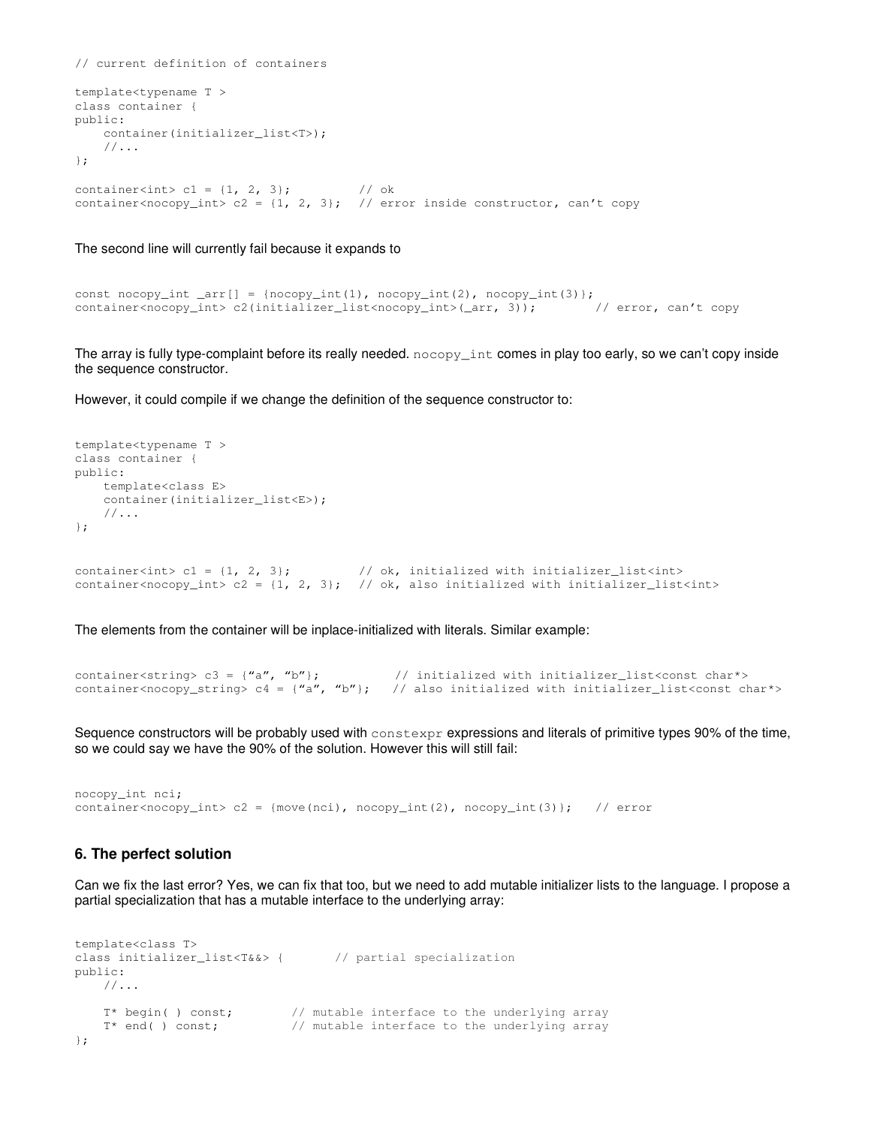```
// current definition of containers 
template<typename T > 
class container { 
public: 
    container(initializer_list<T>); 
    //... 
}; 
container<int> c1 = {1, 2, 3}; // ok
container<nocopy_int> c2 = {1, 2, 3}; // error inside constructor, can't copy
```
#### The second line will currently fail because it expands to

```
const nocopy_int _arr[] = {nocopy_int(1), nocopy_int(2), nocopy_int(3)};
container<nocopy_int> c2(initializer_list<nocopy_int>(_arr, 3)); // error, can't copy
```
The array is fully type-complaint before its really needed. nocopy\_int comes in play too early, so we can't copy inside the sequence constructor.

However, it could compile if we change the definition of the sequence constructor to:

```
template<typename T > 
class container { 
public: 
    template<class E> 
    container(initializer_list<E>); 
    //... 
}; 
container<int> c1 = \{1, 2, 3\}; // ok, initialized with initializer_list<int>
container<nocopy_int> c2 = \{1, 2, 3\}; // ok, also initialized with initializer_list<int>
```
The elements from the container will be inplace-initialized with literals. Similar example:

```
container<string> c3 = {"a", "b"}; \frac{1}{2} initialized with initializer_list<const chart>
container<nocopy_string> c4 = \{''a'',''b''\}; // also initialized with initializer_list<const char*>
```
Sequence constructors will be probably used with constexpr expressions and literals of primitive types 90% of the time, so we could say we have the 90% of the solution. However this will still fail:

```
nocopy_int nci; 
container<nocopy_int> c2 = {move(nci), nocopy_int(2), nocopy_int(3)}; // error
```
### **6. The perfect solution**

Can we fix the last error? Yes, we can fix that too, but we need to add mutable initializer lists to the language. I propose a partial specialization that has a mutable interface to the underlying array:

```
template<class T> 
class initializer_list<T&&> { // partial specialization
public: 
    //... 
 T* begin( ) const; // mutable interface to the underlying array 
T* end( ) const; \frac{1}{2} // mutable interface to the underlying array
};
```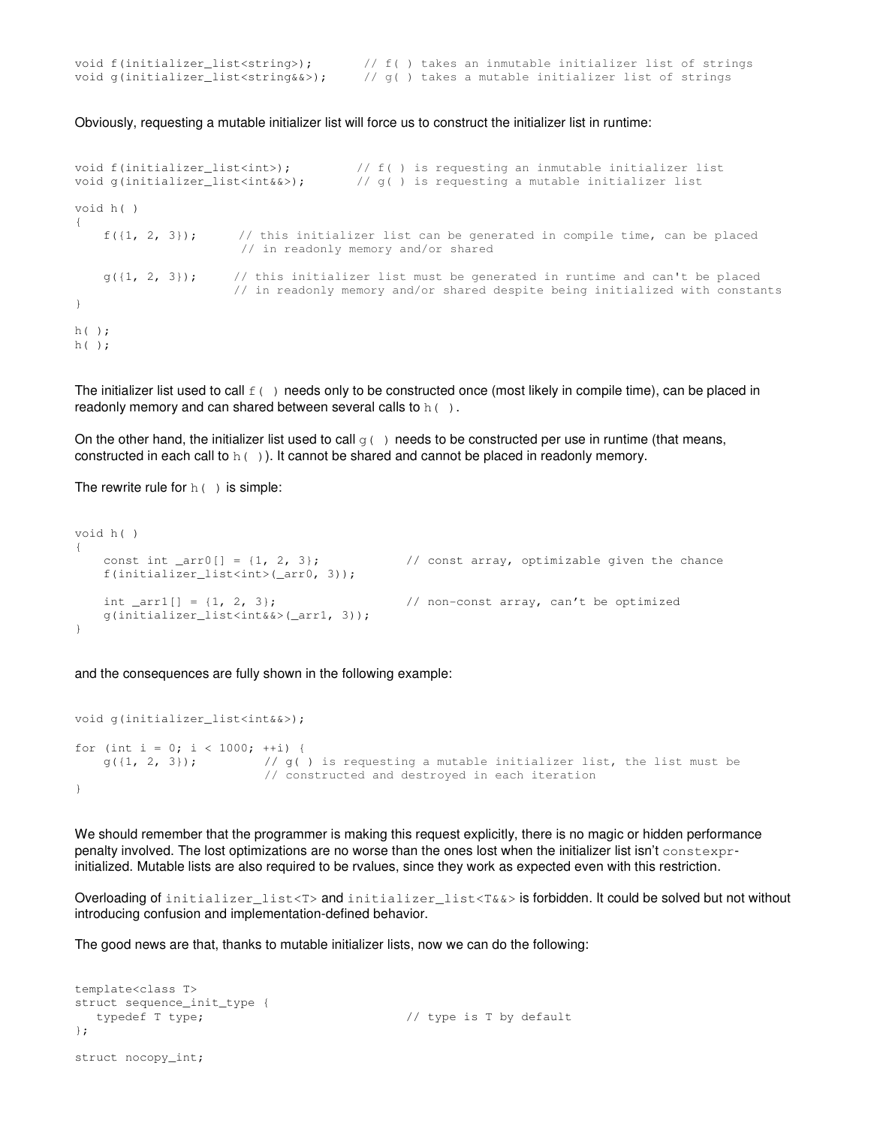| void f(initializer_list <string>);</string>     |  |  | // f() takes an inmutable initializer list of strings |  |  |  |
|-------------------------------------------------|--|--|-------------------------------------------------------|--|--|--|
| void g(initializer_list <string&&>);</string&&> |  |  | // q( ) takes a mutable initializer list of strings   |  |  |  |

Obviously, requesting a mutable initializer list will force us to construct the initializer list in runtime:

```
void f(initializer_list<int>); <br> \frac{1}{f( \int f(\cdot) )} is requesting a mutable initializer list <br>void g(initializer_list<int&&>); <br> \frac{1}{f( \int f(\cdot) )} is requesting a mutable initializer list
                                                 v/d \leq 1 is requesting a mutable initializer list
void h( ) 
{ 
     f({1, 2, 3}); // this initializer list can be generated in compile time, can be placed
                              // in readonly memory and/or shared 
     g({1, 2, 3}); // this initializer list must be generated in runtime and can't be placed
                             // in readonly memory and/or shared despite being initialized with constants 
} 
h( ); 
h( );
```
The initializer list used to call  $f( )$  needs only to be constructed once (most likely in compile time), can be placed in readonly memory and can shared between several calls to h().

On the other hand, the initializer list used to call  $q(\cdot)$  needs to be constructed per use in runtime (that means, constructed in each call to  $h( )$ ). It cannot be shared and cannot be placed in readonly memory.

The rewrite rule for  $h( )$  is simple:

```
void h( ) 
{ 
   const int ar0[] = \{1, 2, 3\}; // const array, optimizable given the chance
    f(initializer_list<int>(_arr0, 3));
   int arr1[] = \{1, 2, 3\}; // non-const array, can't be optimized
    g(initializer_list<int&&>(_arr1, 3));
}
```
and the consequences are fully shown in the following example:

```
void g(initializer_list<int&&>);
for (int i = 0; i < 1000; ++i) {
   g({1, 2, 3}); // g() is requesting a mutable initializer list, the list must be
                         // constructed and destroyed in each iteration 
}
```
We should remember that the programmer is making this request explicitly, there is no magic or hidden performance penalty involved. The lost optimizations are no worse than the ones lost when the initializer list isn't constexprinitialized. Mutable lists are also required to be rvalues, since they work as expected even with this restriction.

Overloading of initializer\_list<T> and initializer\_list<T&&> is forbidden. It could be solved but not without introducing confusion and implementation-defined behavior.

The good news are that, thanks to mutable initializer lists, now we can do the following:

```
template<class T> 
struct sequence_init_type { 
  typedef T type; \frac{1}{2} // type is T by default
}; 
struct nocopy_int;
```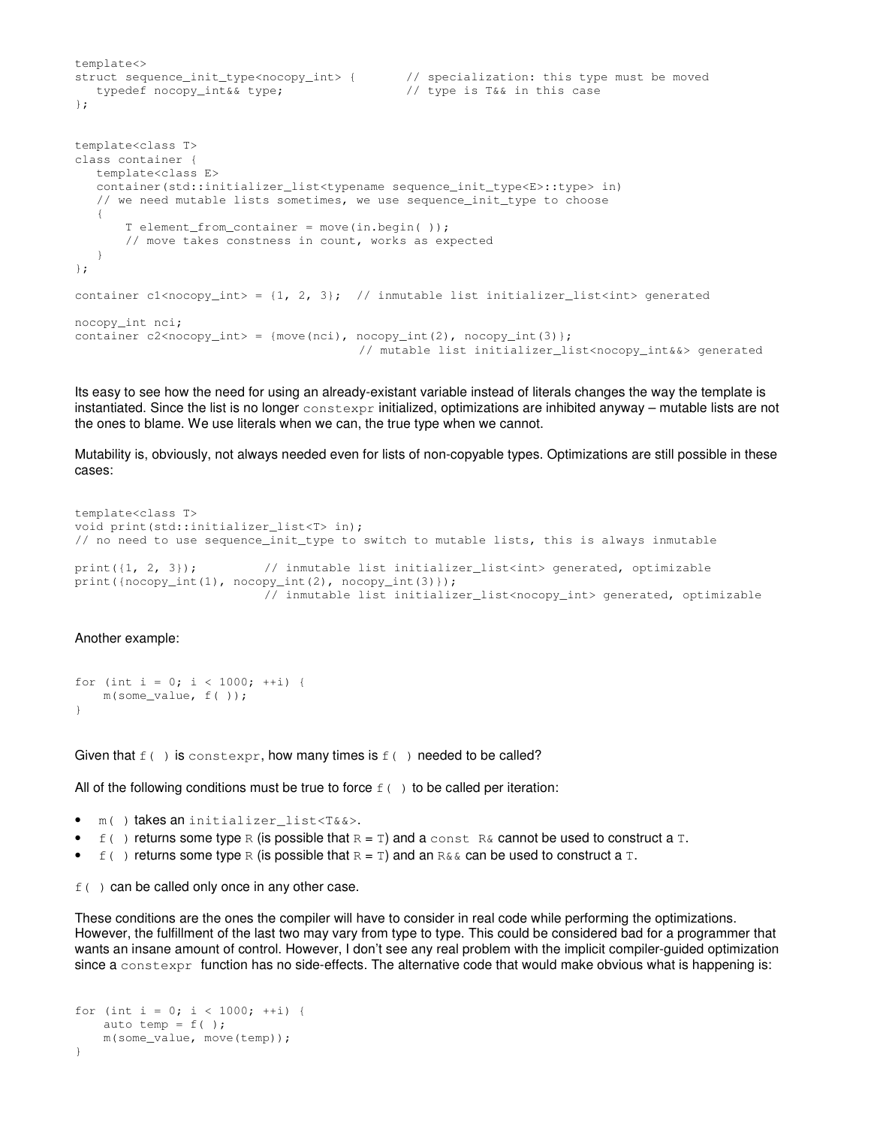```
template<> 
struct sequence_init_type<nocopy_int> { // specialization: this type must be moved 
  typedef nocopy_int&& type; \frac{1}{2} // type is T&& in this case
}; 
template<class T> 
class container { 
    template<class E> 
    container(std::initializer_list<typename sequence_init_type<E>::type> in) 
   // we need mutable lists sometimes, we use sequence_init_type to choose 
    { 
        T element_from_container = move(in.begin( )); 
        // move takes constness in count, works as expected 
    } 
}; 
container c1<nocopy_int> = {1, 2, 3}; // inmutable list initializer_list<int> generated
nocopy_int nci; 
container c2<nocopy_int> = {move(nci), nocopy_int(2), nocopy_int(3)};
                                        // mutable list initializer_list<nocopy_int&&> generated
```
Its easy to see how the need for using an already-existant variable instead of literals changes the way the template is instantiated. Since the list is no longer constexpr initialized, optimizations are inhibited anyway – mutable lists are not the ones to blame. We use literals when we can, the true type when we cannot.

Mutability is, obviously, not always needed even for lists of non-copyable types. Optimizations are still possible in these cases:

```
template<class T> 
void print(std::initializer_list<T> in); 
// no need to use sequence_init_type to switch to mutable lists, this is always inmutable 
print({1, 2, 3}); // inmutable list initializer_list<int> generated, optimizable
print({nocopy_int(1), nocopy_int(2), nocopy_int(3)}); 
                          // inmutable list initializer_list<nocopy_int> generated, optimizable
```
#### Another example:

```
for (int i = 0; i < 1000; ++i) {
    m(some_value, f( )); 
}
```
Given that  $f(\cdot)$  is constexpr, how many times is  $f(\cdot)$  needed to be called?

All of the following conditions must be true to force  $f(\cdot)$  to be called per iteration:

- m( ) takes an initializer\_list<T&&>.
- $f(\cdot)$  returns some type R (is possible that  $R = T$ ) and a const R& cannot be used to construct a T.
- $f(\cdot)$  returns some type R (is possible that  $R = T$ ) and an R&& can be used to construct a T.

 $f( )$  can be called only once in any other case.

These conditions are the ones the compiler will have to consider in real code while performing the optimizations. However, the fulfillment of the last two may vary from type to type. This could be considered bad for a programmer that wants an insane amount of control. However, I don't see any real problem with the implicit compiler-guided optimization since a constexpr function has no side-effects. The alternative code that would make obvious what is happening is:

```
for (int i = 0; i < 1000; ++i) {
   auto temp = f();
    m(some_value, move(temp)); 
}
```